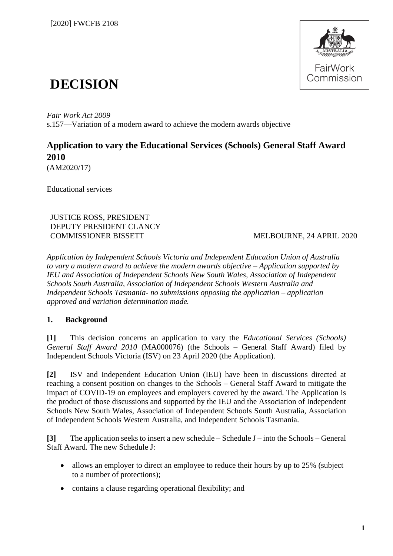

# **DECISION**

*Fair Work Act 2009*  s.157—Variation of a modern award to achieve the modern awards objective

### **Application to vary the Educational Services (Schools) General Staff Award 2010**

(AM2020/17)

Educational services

JUSTICE ROSS, PRESIDENT DEPUTY PRESIDENT CLANCY COMMISSIONER BISSETT MELBOURNE, 24 APRIL 2020

*Application by Independent Schools Victoria and Independent Education Union of Australia to vary a modern award to achieve the modern awards objective – Application supported by IEU and Association of Independent Schools New South Wales, Association of Independent Schools South Australia, Association of Independent Schools Western Australia and Independent Schools Tasmania- no submissions opposing the application – application approved and variation determination made.* 

#### **1. Background**

**[1]** This decision concerns an application to vary the *Educational Services (Schools) General Staff Award 2010* (MA000076) (the Schools – General Staff Award) filed by Independent Schools Victoria (ISV) on 23 April 2020 (the Application).

**[2]** ISV and Independent Education Union (IEU) have been in discussions directed at reaching a consent position on changes to the Schools – General Staff Award to mitigate the impact of COVID-19 on employees and employers covered by the award. The Application is the product of those discussions and supported by the IEU and the Association of Independent Schools New South Wales, Association of Independent Schools South Australia, Association of Independent Schools Western Australia, and Independent Schools Tasmania.

**[3]** The application seeks to insert a new schedule – Schedule J – into the Schools – General Staff Award. The new Schedule J:

- allows an employer to direct an employee to reduce their hours by up to 25% (subject to a number of protections);
- contains a clause regarding operational flexibility; and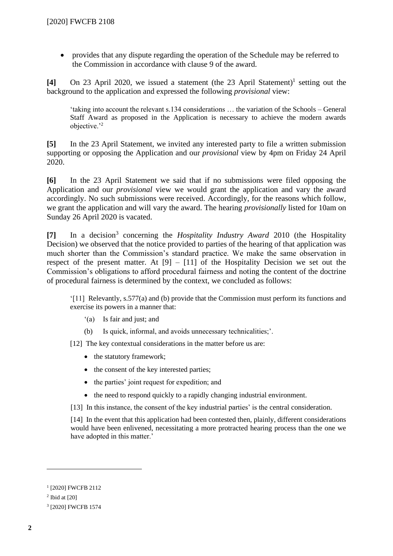• provides that any dispute regarding the operation of the Schedule may be referred to the Commission in accordance with clause 9 of the award.

[4] On 23 April 2020, we issued a statement (the 23 April Statement)<sup>1</sup> setting out the background to the application and expressed the following *provisional* view:

'taking into account the relevant s.134 considerations … the variation of the Schools – General Staff Award as proposed in the Application is necessary to achieve the modern awards objective.'<sup>2</sup>

**[5]** In the 23 April Statement, we invited any interested party to file a written submission supporting or opposing the Application and our *provisional* view by 4pm on Friday 24 April 2020.

**[6]** In the 23 April Statement we said that if no submissions were filed opposing the Application and our *provisional* view we would grant the application and vary the award accordingly. No such submissions were received. Accordingly, for the reasons which follow, we grant the application and will vary the award. The hearing *provisionally* listed for 10am on Sunday 26 April 2020 is vacated.

**[7]** In a decision<sup>3</sup> concerning the *Hospitality Industry Award* 2010 (the Hospitality Decision) we observed that the notice provided to parties of the hearing of that application was much shorter than the Commission's standard practice. We make the same observation in respect of the present matter. At  $[9] - [11]$  of the Hospitality Decision we set out the Commission's obligations to afford procedural fairness and noting the content of the doctrine of procedural fairness is determined by the context, we concluded as follows:

'[11] Relevantly, s.577(a) and (b) provide that the Commission must perform its functions and exercise its powers in a manner that:

- '(a) Is fair and just; and
- (b) Is quick, informal, and avoids unnecessary technicalities;'.

[12] The key contextual considerations in the matter before us are:

- the statutory framework;
- the consent of the key interested parties;
- the parties' joint request for expedition; and
- the need to respond quickly to a rapidly changing industrial environment.
- [13] In this instance, the consent of the key industrial parties' is the central consideration.

[14] In the event that this application had been contested then, plainly, different considerations would have been enlivened, necessitating a more protracted hearing process than the one we have adopted in this matter.'

<sup>1</sup> [2020] FWCFB 2112

<sup>2</sup> Ibid at [20]

<sup>3</sup> [2020] FWCFB 1574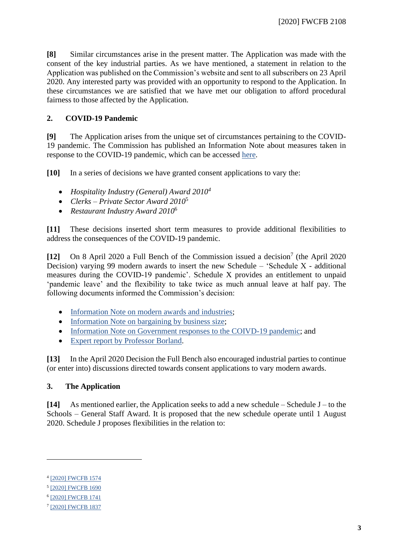**[8]** Similar circumstances arise in the present matter. The Application was made with the consent of the key industrial parties. As we have mentioned, a statement in relation to the Application was published on the Commission's website and sent to all subscribers on 23 April 2020. Any interested party was provided with an opportunity to respond to the Application. In these circumstances we are satisfied that we have met our obligation to afford procedural fairness to those affected by the Application.

#### **2. COVID-19 Pandemic**

**[9]** The Application arises from the unique set of circumstances pertaining to the COVID-19 pandemic. The Commission has published an Information Note about measures taken in response to the COVID-19 pandemic, which can be accessed [here.](https://www.fwc.gov.au/documents/documents/awardmod/var010110/am20208-information-note-gvt-response-240320.pdf)

**[10]** In a series of decisions we have granted consent applications to vary the:

- *Hospitality Industry (General) Award 2010<sup>4</sup>*
- *Clerks – Private Sector Award 2010*<sup>5</sup>
- *Restaurant Industry Award 2010*<sup>6</sup>

**[11]** These decisions inserted short term measures to provide additional flexibilities to address the consequences of the COVID-19 pandemic.

[12] On 8 April 2020 a Full Bench of the Commission issued a decision<sup>7</sup> (the April 2020 Decision) varying 99 modern awards to insert the new Schedule – 'Schedule  $X$  - additional measures during the COVID-19 pandemic'. Schedule X provides an entitlement to unpaid 'pandemic leave' and the flexibility to take twice as much annual leave at half pay. The following documents informed the Commission's decision:

- [Information Note on modern awards and industries;](https://www.fwc.gov.au/documents/documents/awardmod/variations/2020/am202012-information-note-awards-industries-010420.pdf)
- [Information Note on bargaining by business size;](https://www.fwc.gov.au/documents/documents/awardmod/variations/2020/am202012-information-note-bargaining-010420.pdf)
- [Information Note on Government responses to the COIVD-19 pandemic;](https://www.fwc.gov.au/documents/documents/resources/covid-19-information/information-note-government-responses-2020-03-30-1800.pdf) and
- [Expert report by Professor Borland.](https://www.fwc.gov.au/documents/documents/awardmod/variations/2020/am202012-information-note-flex-010420.pdf)

**[13]** In the April 2020 Decision the Full Bench also encouraged industrial parties to continue (or enter into) discussions directed towards consent applications to vary modern awards.

#### **3. The Application**

**[14]** As mentioned earlier, the Application seeks to add a new schedule – Schedule J – to the Schools – General Staff Award. It is proposed that the new schedule operate until 1 August 2020. Schedule J proposes flexibilities in the relation to:

<sup>4</sup> [\[2020\] FWCFB 1574](https://www.fwc.gov.au/documents/decisionssigned/html/2020fwcfb1574.htm)

<sup>5</sup> [\[2020\] FWCFB 1690](https://www.fwc.gov.au/documents/decisionssigned/html/2020fwcfb1690.htm)

<sup>6</sup> [\[2020\] FWCFB 1741](https://www.fwc.gov.au/documents/decisionssigned/html/2020fwcfb1741.htm)

<sup>7</sup> [\[2020\] FWCFB 1837](https://www.fwc.gov.au/documents/decisionssigned/html/2020fwcfb1837.htm)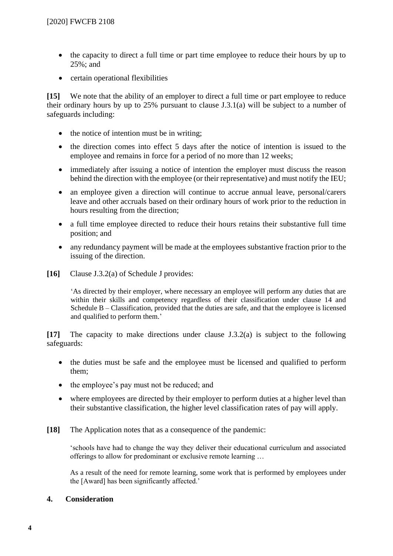- the capacity to direct a full time or part time employee to reduce their hours by up to 25%; and
- certain operational flexibilities

**[15]** We note that the ability of an employer to direct a full time or part employee to reduce their ordinary hours by up to 25% pursuant to clause J.3.1(a) will be subject to a number of safeguards including:

- the notice of intention must be in writing;
- the direction comes into effect 5 days after the notice of intention is issued to the employee and remains in force for a period of no more than 12 weeks;
- immediately after issuing a notice of intention the employer must discuss the reason behind the direction with the employee (or their representative) and must notify the IEU;
- an employee given a direction will continue to accrue annual leave, personal/carers leave and other accruals based on their ordinary hours of work prior to the reduction in hours resulting from the direction;
- a full time employee directed to reduce their hours retains their substantive full time position; and
- any redundancy payment will be made at the employees substantive fraction prior to the issuing of the direction.
- **[16]** Clause J.3.2(a) of Schedule J provides:

'As directed by their employer, where necessary an employee will perform any duties that are within their skills and competency regardless of their classification under clause 14 and Schedule  $B -$ Classification, provided that the duties are safe, and that the employee is licensed and qualified to perform them.'

**[17]** The capacity to make directions under clause J.3.2(a) is subject to the following safeguards:

- the duties must be safe and the employee must be licensed and qualified to perform them;
- the employee's pay must not be reduced; and
- where employees are directed by their employer to perform duties at a higher level than their substantive classification, the higher level classification rates of pay will apply.
- **[18]** The Application notes that as a consequence of the pandemic:

'schools have had to change the way they deliver their educational curriculum and associated offerings to allow for predominant or exclusive remote learning …

As a result of the need for remote learning, some work that is performed by employees under the [Award] has been significantly affected.'

#### **4. Consideration**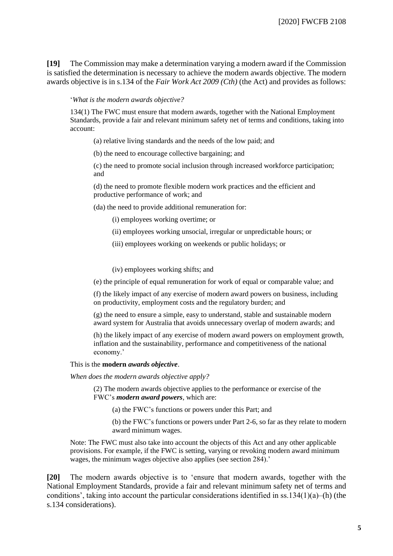**[19]** The Commission may make a determination varying a modern award if the Commission is satisfied the determination is necessary to achieve the modern awards objective. The modern awards objective is in s.134 of the *Fair Work Act 2009 (Cth)* (the Act) and provides as follows:

#### '*What is the modern awards objective?*

134(1) The FWC must ensure that modern awards, together with the National Employment Standards, provide a fair and relevant minimum safety net of terms and conditions, taking into account:

(a) relative living standards and the needs of the low paid; and

(b) the need to encourage collective bargaining; and

(c) the need to promote social inclusion through increased workforce participation; and

(d) the need to promote flexible modern work practices and the efficient and productive performance of work; and

(da) the need to provide additional remuneration for:

(i) employees working overtime; or

- (ii) employees working unsocial, irregular or unpredictable hours; or
- (iii) employees working on weekends or public holidays; or

(iv) employees working shifts; and

(e) the principle of equal remuneration for work of equal or comparable value; and

(f) the likely impact of any exercise of modern award powers on business, including on productivity, employment costs and the regulatory burden; and

(g) the need to ensure a simple, easy to understand, stable and sustainable modern award system for Australia that avoids unnecessary overlap of modern awards; and

(h) the likely impact of any exercise of modern award powers on employment growth, inflation and the sustainability, performance and competitiveness of the national economy.'

#### This is the **modern** *awards objective*.

*When does the modern awards objective apply?*

(2) The modern awards objective applies to the performance or exercise of the FWC's *modern award powers*, which are:

(a) the FWC's functions or powers under this Part; and

(b) the FWC's functions or powers under Part 2-6, so far as they relate to modern award minimum wages.

Note: The FWC must also take into account the objects of this Act and any other applicable provisions. For example, if the FWC is setting, varying or revoking modern award minimum wages, the minimum wages objective also applies (see section 284).'

**[20]** The modern awards objective is to 'ensure that modern awards, together with the National Employment Standards, provide a fair and relevant minimum safety net of terms and conditions', taking into account the particular considerations identified in ss.134(1)(a)–(h) (the s.134 considerations).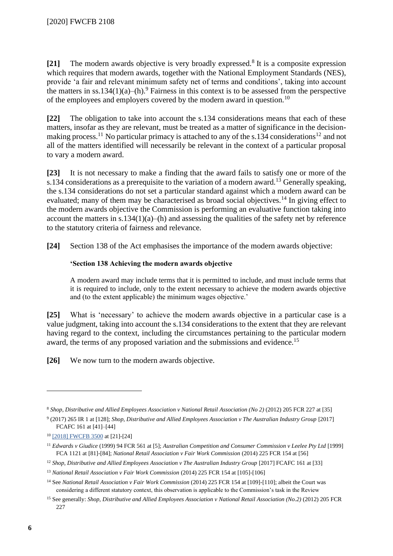[21] The modern awards objective is very broadly expressed.<sup>8</sup> It is a composite expression which requires that modern awards, together with the National Employment Standards (NES), provide 'a fair and relevant minimum safety net of terms and conditions', taking into account the matters in ss.134(1)(a)–(h).<sup>9</sup> Fairness in this context is to be assessed from the perspective of the employees and employers covered by the modern award in question.<sup>10</sup>

**[22]** The obligation to take into account the s.134 considerations means that each of these matters, insofar as they are relevant, must be treated as a matter of significance in the decisionmaking process.<sup>11</sup> No particular primacy is attached to any of the s.134 considerations<sup>12</sup> and not all of the matters identified will necessarily be relevant in the context of a particular proposal to vary a modern award.

**[23]** It is not necessary to make a finding that the award fails to satisfy one or more of the s.134 considerations as a prerequisite to the variation of a modern award.<sup>13</sup> Generally speaking, the s.134 considerations do not set a particular standard against which a modern award can be evaluated; many of them may be characterised as broad social objectives.<sup>14</sup> In giving effect to the modern awards objective the Commission is performing an evaluative function taking into account the matters in  $s.134(1)(a)$ –(h) and assessing the qualities of the safety net by reference to the statutory criteria of fairness and relevance.

**[24]** Section 138 of the Act emphasises the importance of the modern awards objective:

#### **'Section 138 Achieving the modern awards objective**

A modern award may include terms that it is permitted to include, and must include terms that it is required to include, only to the extent necessary to achieve the modern awards objective and (to the extent applicable) the minimum wages objective.'

**[25]** What is 'necessary' to achieve the modern awards objective in a particular case is a value judgment, taking into account the s.134 considerations to the extent that they are relevant having regard to the context, including the circumstances pertaining to the particular modern award, the terms of any proposed variation and the submissions and evidence.<sup>15</sup>

[26] We now turn to the modern awards objective.

<sup>8</sup> *Shop, Distributive and Allied Employees Association v National Retail Association (No 2)* (2012) 205 FCR 227 at [35]

<sup>9</sup> (2017) 265 IR 1 at [128]; *Shop, Distributive and Allied Employees Association v The Australian Industry Group* [2017] FCAFC 161 at [41]–[44]

<sup>10</sup> [\[2018\] FWCFB 3500](http://www.fwc.gov.au/decisionssigned/html/2018fwcfb3500.htm) at [21]-[24]

<sup>11</sup> *Edwards v Giudice* (1999) 94 FCR 561 at [5]; *Australian Competition and Consumer Commission v Leelee Pty Ltd* [1999] FCA 1121 at [81]-[84]; *National Retail Association v Fair Work Commission* (2014) 225 FCR 154 at [56]

<sup>&</sup>lt;sup>12</sup> *Shop, Distributive and Allied Employees Association v The Australian Industry Group* [2017] FCAFC 161 at [33]

<sup>13</sup> *National Retail Association v Fair Work Commission* (2014) 225 FCR 154 at [105]-[106]

<sup>14</sup> See *National Retail Association v Fair Work Commission* (2014) 225 FCR 154 at [109]-[110]; albeit the Court was considering a different statutory context, this observation is applicable to the Commission's task in the Review

<sup>15</sup> See generally: *Shop, Distributive and Allied Employees Association v National Retail Association (No.2)* (2012) 205 FCR 227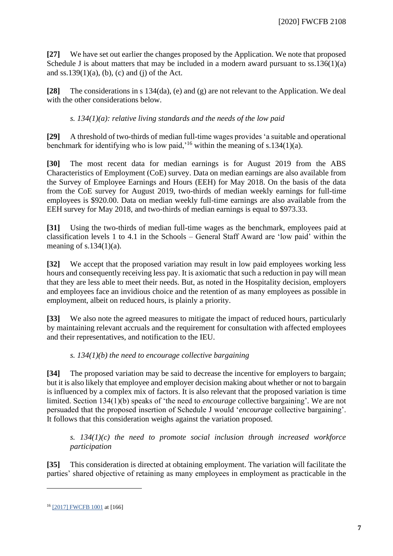**[27]** We have set out earlier the changes proposed by the Application. We note that proposed Schedule J is about matters that may be included in a modern award pursuant to  $ss.136(1)(a)$ and ss.139 $(1)(a)$ ,  $(b)$ ,  $(c)$  and  $(j)$  of the Act.

**[28]** The considerations in s 134(da), (e) and (g) are not relevant to the Application. We deal with the other considerations below.

#### *s. 134(1)(a): relative living standards and the needs of the low paid*

**[29]** A threshold of two-thirds of median full-time wages provides 'a suitable and operational benchmark for identifying who is low paid,<sup> $16$ </sup> within the meaning of s.134(1)(a).

**[30]** The most recent data for median earnings is for August 2019 from the ABS Characteristics of Employment (CoE) survey. Data on median earnings are also available from the Survey of Employee Earnings and Hours (EEH) for May 2018. On the basis of the data from the CoE survey for August 2019, two-thirds of median weekly earnings for full-time employees is \$920.00. Data on median weekly full-time earnings are also available from the EEH survey for May 2018, and two-thirds of median earnings is equal to \$973.33.

**[31]** Using the two-thirds of median full-time wages as the benchmark, employees paid at classification levels 1 to 4.1 in the Schools – General Staff Award are 'low paid' within the meaning of  $s.134(1)(a)$ .

**[32]** We accept that the proposed variation may result in low paid employees working less hours and consequently receiving less pay. It is axiomatic that such a reduction in pay will mean that they are less able to meet their needs. But, as noted in the Hospitality decision, employers and employees face an invidious choice and the retention of as many employees as possible in employment, albeit on reduced hours, is plainly a priority.

**[33]** We also note the agreed measures to mitigate the impact of reduced hours, particularly by maintaining relevant accruals and the requirement for consultation with affected employees and their representatives, and notification to the IEU.

#### *s. 134(1)(b) the need to encourage collective bargaining*

**[34]** The proposed variation may be said to decrease the incentive for employers to bargain; but it is also likely that employee and employer decision making about whether or not to bargain is influenced by a complex mix of factors. It is also relevant that the proposed variation is time limited. Section 134(1)(b) speaks of 'the need to *encourage* collective bargaining'*.* We are not persuaded that the proposed insertion of Schedule J would '*encourage* collective bargaining'. It follows that this consideration weighs against the variation proposed.

*s. 134(1)(c) the need to promote social inclusion through increased workforce participation*

**[35]** This consideration is directed at obtaining employment. The variation will facilitate the parties' shared objective of retaining as many employees in employment as practicable in the

<sup>16</sup> [\[2017\] FWCFB 1001](http://www.fwc.gov.au/decisionssigned/html/2017fwcfb1001.htm) at [166]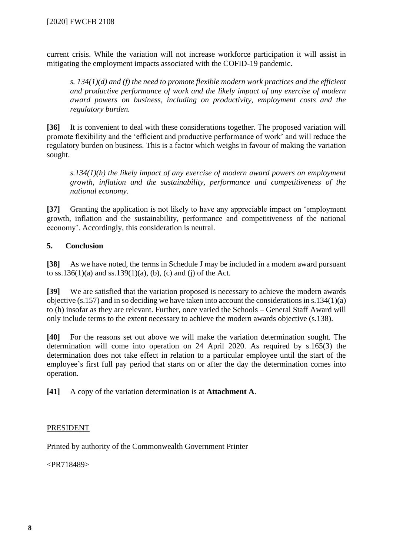current crisis. While the variation will not increase workforce participation it will assist in mitigating the employment impacts associated with the COFID-19 pandemic.

*s. 134(1)(d) and (f) the need to promote flexible modern work practices and the efficient and productive performance of work and the likely impact of any exercise of modern award powers on business, including on productivity, employment costs and the regulatory burden.*

**[36]** It is convenient to deal with these considerations together. The proposed variation will promote flexibility and the 'efficient and productive performance of work' and will reduce the regulatory burden on business. This is a factor which weighs in favour of making the variation sought.

*s.134(1)(h) the likely impact of any exercise of modern award powers on employment growth, inflation and the sustainability, performance and competitiveness of the national economy.*

**[37]** Granting the application is not likely to have any appreciable impact on 'employment growth, inflation and the sustainability, performance and competitiveness of the national economy'. Accordingly, this consideration is neutral.

#### **5. Conclusion**

**[38]** As we have noted, the terms in Schedule J may be included in a modern award pursuant to ss.136(1)(a) and ss.139(1)(a), (b), (c) and (j) of the Act.

**[39]** We are satisfied that the variation proposed is necessary to achieve the modern awards objective (s.157) and in so deciding we have taken into account the considerations in s.134(1)(a) to (h) insofar as they are relevant. Further, once varied the Schools – General Staff Award will only include terms to the extent necessary to achieve the modern awards objective (s.138).

**[40]** For the reasons set out above we will make the variation determination sought. The determination will come into operation on 24 April 2020. As required by s.165(3) the determination does not take effect in relation to a particular employee until the start of the employee's first full pay period that starts on or after the day the determination comes into operation.

**[41]** A copy of the variation determination is at **Attachment A**.

#### **PRESIDENT**

Printed by authority of the Commonwealth Government Printer

<PR718489>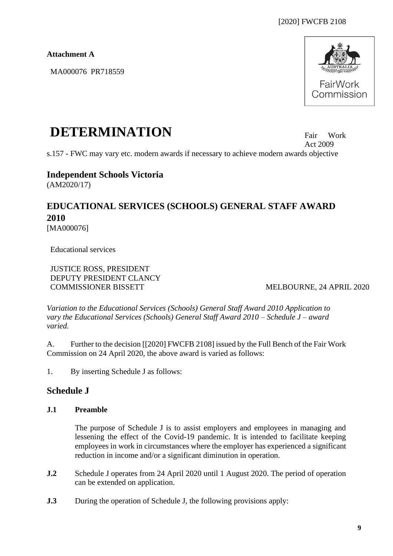#### **Attachment A**

MA000076 PR718559



# **DETERMINATION**

Fair Work Act 2009

s.157 - FWC may vary etc. modern awards if necessary to achieve modern awards objective

**Independent Schools Victoria** (AM2020/17)

## **EDUCATIONAL SERVICES (SCHOOLS) GENERAL STAFF AWARD 2010**

[MA000076]

Educational services

JUSTICE ROSS, PRESIDENT DEPUTY PRESIDENT CLANCY COMMISSIONER BISSETT MELBOURNE, 24 APRIL 2020

*Variation to the Educational Services (Schools) General Staff Award 2010 Application to vary the Educational Services (Schools) General Staff Award 2010 – Schedule J – award varied.*

A. Further to the decision [[2020] FWCFB 2108] issued by the Full Bench of the Fair Work Commission on 24 April 2020, the above award is varied as follows:

1. By inserting Schedule J as follows:

### **Schedule J**

#### **J.1 Preamble**

The purpose of Schedule J is to assist employers and employees in managing and lessening the effect of the Covid-19 pandemic. It is intended to facilitate keeping employees in work in circumstances where the employer has experienced a significant reduction in income and/or a significant diminution in operation.

- **J.2** Schedule J operates from 24 April 2020 until 1 August 2020. The period of operation can be extended on application.
- **J.3** During the operation of Schedule J, the following provisions apply: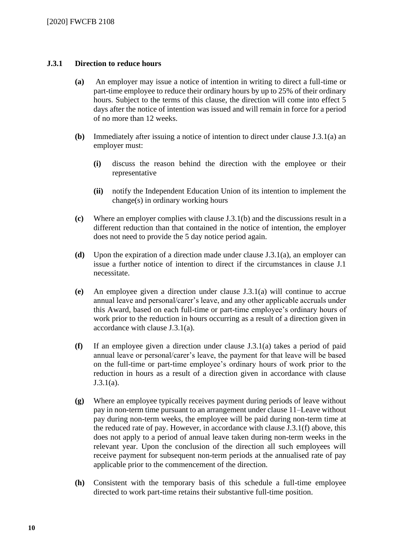#### **J.3.1 Direction to reduce hours**

- **(a)** An employer may issue a notice of intention in writing to direct a full-time or part-time employee to reduce their ordinary hours by up to 25% of their ordinary hours. Subject to the terms of this clause, the direction will come into effect 5 days after the notice of intention was issued and will remain in force for a period of no more than 12 weeks.
- **(b)** Immediately after issuing a notice of intention to direct under clause J.3.1(a) an employer must:
	- **(i)** discuss the reason behind the direction with the employee or their representative
	- **(ii)** notify the Independent Education Union of its intention to implement the change(s) in ordinary working hours
- **(c)** Where an employer complies with clause J.3.1(b) and the discussions result in a different reduction than that contained in the notice of intention, the employer does not need to provide the 5 day notice period again.
- **(d)** Upon the expiration of a direction made under clause J.3.1(a), an employer can issue a further notice of intention to direct if the circumstances in clause J.1 necessitate.
- **(e)** An employee given a direction under clause J.3.1(a) will continue to accrue annual leave and personal/carer's leave, and any other applicable accruals under this Award, based on each full-time or part-time employee's ordinary hours of work prior to the reduction in hours occurring as a result of a direction given in accordance with clause J.3.1(a).
- **(f)** If an employee given a direction under clause J.3.1(a) takes a period of paid annual leave or personal/carer's leave, the payment for that leave will be based on the full-time or part-time employee's ordinary hours of work prior to the reduction in hours as a result of a direction given in accordance with clause J.3.1(a).
- **(g)** Where an employee typically receives payment during periods of leave without pay in non-term time pursuant to an arrangement under clause 11–Leave without pay during non-term weeks, the employee will be paid during non-term time at the reduced rate of pay. However, in accordance with clause J.3.1(f) above, this does not apply to a period of annual leave taken during non-term weeks in the relevant year. Upon the conclusion of the direction all such employees will receive payment for subsequent non-term periods at the annualised rate of pay applicable prior to the commencement of the direction.
- **(h)** Consistent with the temporary basis of this schedule a full-time employee directed to work part-time retains their substantive full-time position.